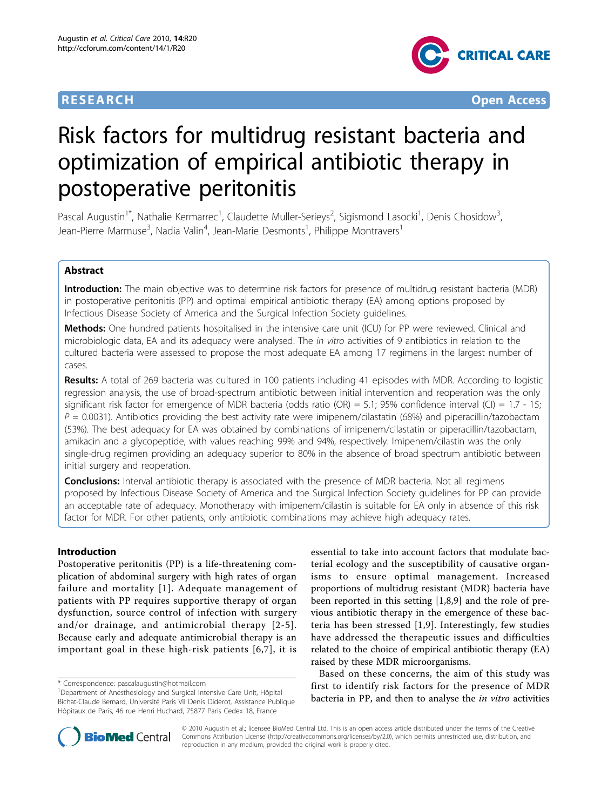

**RESEARCH CONTROL** CONTROL CONTROL CONTROL CONTROL CONTROL CONTROL CONTROL CONTROL CONTROL CONTROL CONTROL CONTROL CONTROL CONTROL CONTROL CONTROL CONTROL CONTROL CONTROL CONTROL CONTROL CONTROL CONTROL CONTROL CONTROL CON

# Risk factors for multidrug resistant bacteria and optimization of empirical antibiotic therapy in postoperative peritonitis

Pascal Augustin<sup>1\*</sup>, Nathalie Kermarrec<sup>1</sup>, Claudette Muller-Serieys<sup>2</sup>, Sigismond Lasocki<sup>1</sup>, Denis Chosidow<sup>3</sup> , Jean-Pierre Marmuse<sup>3</sup>, Nadia Valin<sup>4</sup>, Jean-Marie Desmonts<sup>1</sup>, Philippe Montravers<sup>1</sup>

# Abstract

Introduction: The main objective was to determine risk factors for presence of multidrug resistant bacteria (MDR) in postoperative peritonitis (PP) and optimal empirical antibiotic therapy (EA) among options proposed by Infectious Disease Society of America and the Surgical Infection Society guidelines.

Methods: One hundred patients hospitalised in the intensive care unit (ICU) for PP were reviewed. Clinical and microbiologic data, EA and its adequacy were analysed. The in vitro activities of 9 antibiotics in relation to the cultured bacteria were assessed to propose the most adequate EA among 17 regimens in the largest number of cases.

Results: A total of 269 bacteria was cultured in 100 patients including 41 episodes with MDR. According to logistic regression analysis, the use of broad-spectrum antibiotic between initial intervention and reoperation was the only significant risk factor for emergence of MDR bacteria (odds ratio (OR) = 5.1; 95% confidence interval (CI) = 1.7 - 15;  $P = 0.0031$ ). Antibiotics providing the best activity rate were imipenem/cilastatin (68%) and piperacillin/tazobactam (53%). The best adequacy for EA was obtained by combinations of imipenem/cilastatin or piperacillin/tazobactam, amikacin and a glycopeptide, with values reaching 99% and 94%, respectively. Imipenem/cilastin was the only single-drug regimen providing an adequacy superior to 80% in the absence of broad spectrum antibiotic between initial surgery and reoperation.

**Conclusions:** Interval antibiotic therapy is associated with the presence of MDR bacteria. Not all regimens proposed by Infectious Disease Society of America and the Surgical Infection Society guidelines for PP can provide an acceptable rate of adequacy. Monotherapy with imipenem/cilastin is suitable for EA only in absence of this risk factor for MDR. For other patients, only antibiotic combinations may achieve high adequacy rates.

# Introduction

Postoperative peritonitis (PP) is a life-threatening complication of abdominal surgery with high rates of organ failure and mortality [[1](#page-7-0)]. Adequate management of patients with PP requires supportive therapy of organ dysfunction, source control of infection with surgery and/or drainage, and antimicrobial therapy [[2](#page-7-0)-[5\]](#page-7-0). Because early and adequate antimicrobial therapy is an important goal in these high-risk patients [[6](#page-7-0),[7\]](#page-7-0), it is

essential to take into account factors that modulate bacterial ecology and the susceptibility of causative organisms to ensure optimal management. Increased proportions of multidrug resistant (MDR) bacteria have been reported in this setting [\[1,8,9](#page-7-0)] and the role of previous antibiotic therapy in the emergence of these bacteria has been stressed [[1,9](#page-7-0)]. Interestingly, few studies have addressed the therapeutic issues and difficulties related to the choice of empirical antibiotic therapy (EA) raised by these MDR microorganisms.

Based on these concerns, the aim of this study was first to identify risk factors for the presence of MDR bacteria in PP, and then to analyse the *in vitro* activities



© 2010 Augustin et al.; licensee BioMed Central Ltd. This is an open access article distributed under the terms of the Creative Commons Attribution License [\(http://creativecommons.org/licenses/by/2.0](http://creativecommons.org/licenses/by/2.0)), which permits unrestricted use, distribution, and reproduction in any medium, provided the original work is properly cited.

<sup>\*</sup> Correspondence: [pascalaugustin@hotmail.com](mailto:pascalaugustin@hotmail.com)

<sup>&</sup>lt;sup>1</sup>Department of Anesthesiology and Surgical Intensive Care Unit, Hôpital Bichat-Claude Bernard, Université Paris VII Denis Diderot, Assistance Publique Hôpitaux de Paris, 46 rue Henri Huchard, 75877 Paris Cedex 18, France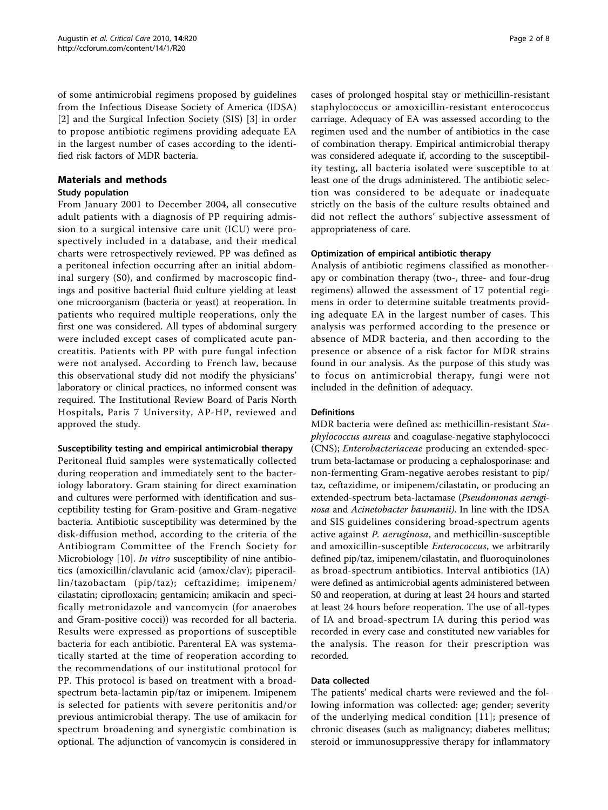of some antimicrobial regimens proposed by guidelines from the Infectious Disease Society of America (IDSA) [[2\]](#page-7-0) and the Surgical Infection Society (SIS) [[3\]](#page-7-0) in order to propose antibiotic regimens providing adequate EA in the largest number of cases according to the identified risk factors of MDR bacteria.

#### Materials and methods

#### Study population

From January 2001 to December 2004, all consecutive adult patients with a diagnosis of PP requiring admission to a surgical intensive care unit (ICU) were prospectively included in a database, and their medical charts were retrospectively reviewed. PP was defined as a peritoneal infection occurring after an initial abdominal surgery (S0), and confirmed by macroscopic findings and positive bacterial fluid culture yielding at least one microorganism (bacteria or yeast) at reoperation. In patients who required multiple reoperations, only the first one was considered. All types of abdominal surgery were included except cases of complicated acute pancreatitis. Patients with PP with pure fungal infection were not analysed. According to French law, because this observational study did not modify the physicians' laboratory or clinical practices, no informed consent was required. The Institutional Review Board of Paris North Hospitals, Paris 7 University, AP-HP, reviewed and approved the study.

# Susceptibility testing and empirical antimicrobial therapy

Peritoneal fluid samples were systematically collected during reoperation and immediately sent to the bacteriology laboratory. Gram staining for direct examination and cultures were performed with identification and susceptibility testing for Gram-positive and Gram-negative bacteria. Antibiotic susceptibility was determined by the disk-diffusion method, according to the criteria of the Antibiogram Committee of the French Society for Microbiology [[10](#page-7-0)]. *In vitro* susceptibility of nine antibiotics (amoxicillin/clavulanic acid (amox/clav); piperacillin/tazobactam (pip/taz); ceftazidime; imipenem/ cilastatin; ciprofloxacin; gentamicin; amikacin and specifically metronidazole and vancomycin (for anaerobes and Gram-positive cocci)) was recorded for all bacteria. Results were expressed as proportions of susceptible bacteria for each antibiotic. Parenteral EA was systematically started at the time of reoperation according to the recommendations of our institutional protocol for PP. This protocol is based on treatment with a broadspectrum beta-lactamin pip/taz or imipenem. Imipenem is selected for patients with severe peritonitis and/or previous antimicrobial therapy. The use of amikacin for spectrum broadening and synergistic combination is optional. The adjunction of vancomycin is considered in

cases of prolonged hospital stay or methicillin-resistant staphylococcus or amoxicillin-resistant enterococcus carriage. Adequacy of EA was assessed according to the regimen used and the number of antibiotics in the case of combination therapy. Empirical antimicrobial therapy was considered adequate if, according to the susceptibility testing, all bacteria isolated were susceptible to at least one of the drugs administered. The antibiotic selection was considered to be adequate or inadequate strictly on the basis of the culture results obtained and did not reflect the authors' subjective assessment of appropriateness of care.

#### Optimization of empirical antibiotic therapy

Analysis of antibiotic regimens classified as monotherapy or combination therapy (two-, three- and four-drug regimens) allowed the assessment of 17 potential regimens in order to determine suitable treatments providing adequate EA in the largest number of cases. This analysis was performed according to the presence or absence of MDR bacteria, and then according to the presence or absence of a risk factor for MDR strains found in our analysis. As the purpose of this study was to focus on antimicrobial therapy, fungi were not included in the definition of adequacy.

# **Definitions**

MDR bacteria were defined as: methicillin-resistant Staphylococcus aureus and coagulase-negative staphylococci (CNS); Enterobacteriaceae producing an extended-spectrum beta-lactamase or producing a cephalosporinase: and non-fermenting Gram-negative aerobes resistant to pip/ taz, ceftazidime, or imipenem/cilastatin, or producing an extended-spectrum beta-lactamase (Pseudomonas aeruginosa and Acinetobacter baumanii). In line with the IDSA and SIS guidelines considering broad-spectrum agents active against P. aeruginosa, and methicillin-susceptible and amoxicillin-susceptible Enterococcus, we arbitrarily defined pip/taz, imipenem/cilastatin, and fluoroquinolones as broad-spectrum antibiotics. Interval antibiotics (IA) were defined as antimicrobial agents administered between S0 and reoperation, at during at least 24 hours and started at least 24 hours before reoperation. The use of all-types of IA and broad-spectrum IA during this period was recorded in every case and constituted new variables for the analysis. The reason for their prescription was recorded.

# Data collected

The patients' medical charts were reviewed and the following information was collected: age; gender; severity of the underlying medical condition [[11\]](#page-7-0); presence of chronic diseases (such as malignancy; diabetes mellitus; steroid or immunosuppressive therapy for inflammatory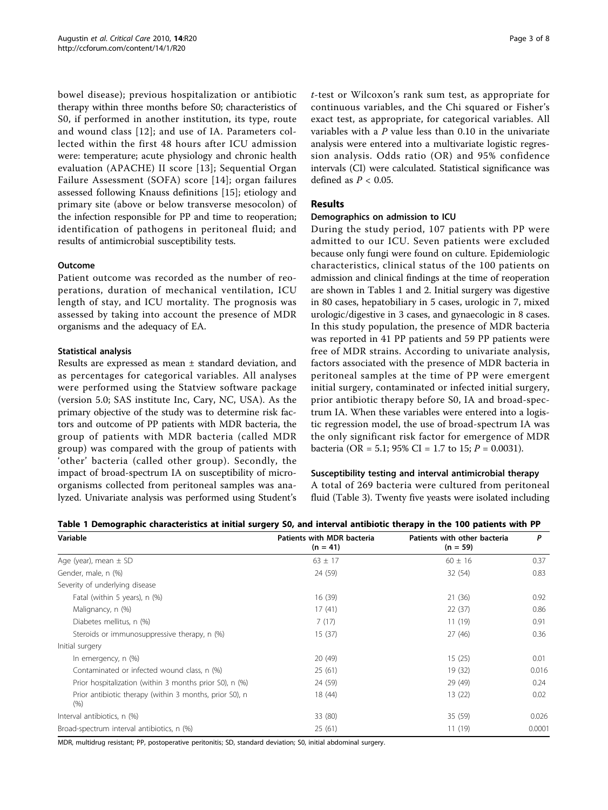bowel disease); previous hospitalization or antibiotic therapy within three months before S0; characteristics of S0, if performed in another institution, its type, route and wound class [[12\]](#page-7-0); and use of IA. Parameters collected within the first 48 hours after ICU admission were: temperature; acute physiology and chronic health evaluation (APACHE) II score [[13\]](#page-7-0); Sequential Organ Failure Assessment (SOFA) score [[14](#page-7-0)]; organ failures assessed following Knauss definitions [\[15](#page-7-0)]; etiology and primary site (above or below transverse mesocolon) of the infection responsible for PP and time to reoperation; identification of pathogens in peritoneal fluid; and results of antimicrobial susceptibility tests.

#### Outcome

Patient outcome was recorded as the number of reoperations, duration of mechanical ventilation, ICU length of stay, and ICU mortality. The prognosis was assessed by taking into account the presence of MDR organisms and the adequacy of EA.

# Statistical analysis

Results are expressed as mean ± standard deviation, and as percentages for categorical variables. All analyses were performed using the Statview software package (version 5.0; SAS institute Inc, Cary, NC, USA). As the primary objective of the study was to determine risk factors and outcome of PP patients with MDR bacteria, the group of patients with MDR bacteria (called MDR group) was compared with the group of patients with 'other' bacteria (called other group). Secondly, the impact of broad-spectrum IA on susceptibility of microorganisms collected from peritoneal samples was analyzed. Univariate analysis was performed using Student's t-test or Wilcoxon's rank sum test, as appropriate for continuous variables, and the Chi squared or Fisher's exact test, as appropriate, for categorical variables. All variables with a P value less than 0.10 in the univariate analysis were entered into a multivariate logistic regression analysis. Odds ratio (OR) and 95% confidence intervals (CI) were calculated. Statistical significance was defined as  $P < 0.05$ .

# Results

# Demographics on admission to ICU

During the study period, 107 patients with PP were admitted to our ICU. Seven patients were excluded because only fungi were found on culture. Epidemiologic characteristics, clinical status of the 100 patients on admission and clinical findings at the time of reoperation are shown in Tables 1 and [2](#page-3-0). Initial surgery was digestive in 80 cases, hepatobiliary in 5 cases, urologic in 7, mixed urologic/digestive in 3 cases, and gynaecologic in 8 cases. In this study population, the presence of MDR bacteria was reported in 41 PP patients and 59 PP patients were free of MDR strains. According to univariate analysis, factors associated with the presence of MDR bacteria in peritoneal samples at the time of PP were emergent initial surgery, contaminated or infected initial surgery, prior antibiotic therapy before S0, IA and broad-spectrum IA. When these variables were entered into a logistic regression model, the use of broad-spectrum IA was the only significant risk factor for emergence of MDR bacteria (OR = 5.1; 95% CI = 1.7 to 15;  $P = 0.0031$ ).

#### Susceptibility testing and interval antimicrobial therapy

A total of 269 bacteria were cultured from peritoneal fluid (Table [3\)](#page-3-0). Twenty five yeasts were isolated including

|  |  |  |  |  |  |  | Table 1 Demographic characteristics at initial surgery S0, and interval antibiotic therapy in the 100 patients with PP |
|--|--|--|--|--|--|--|------------------------------------------------------------------------------------------------------------------------|
|--|--|--|--|--|--|--|------------------------------------------------------------------------------------------------------------------------|

| Variable                                                        | Patients with MDR bacteria<br>$(n = 41)$ | Patients with other bacteria<br>$(n = 59)$ | P      |
|-----------------------------------------------------------------|------------------------------------------|--------------------------------------------|--------|
| Age (year), mean $\pm$ SD                                       | $63 \pm 17$                              | $60 \pm 16$                                | 0.37   |
| Gender, male, n (%)                                             | 24 (59)                                  | 32 (54)                                    | 0.83   |
| Severity of underlying disease                                  |                                          |                                            |        |
| Fatal (within 5 years), n (%)                                   | 16(39)                                   | 21 (36)                                    | 0.92   |
| Malignancy, n (%)                                               | 17(41)                                   | 22(37)                                     | 0.86   |
| Diabetes mellitus, n (%)                                        | 7(17)                                    | 11(19)                                     | 0.91   |
| Steroids or immunosuppressive therapy, n (%)                    | 15(37)                                   | 27(46)                                     | 0.36   |
| Initial surgery                                                 |                                          |                                            |        |
| In emergency, n (%)                                             | 20 (49)                                  | 15(25)                                     | 0.01   |
| Contaminated or infected wound class, n (%)                     | 25(61)                                   | 19 (32)                                    | 0.016  |
| Prior hospitalization (within 3 months prior S0), n (%)         | 24 (59)                                  | 29 (49)                                    | 0.24   |
| Prior antibiotic therapy (within 3 months, prior S0), n<br>(% ) | 18(44)                                   | 13(22)                                     | 0.02   |
| Interval antibiotics, n (%)                                     | 33 (80)                                  | 35 (59)                                    | 0.026  |
| Broad-spectrum interval antibiotics, n (%)                      | 25(61)                                   | 11(19)                                     | 0.0001 |

MDR, multidrug resistant; PP, postoperative peritonitis; SD, standard deviation; S0, initial abdominal surgery.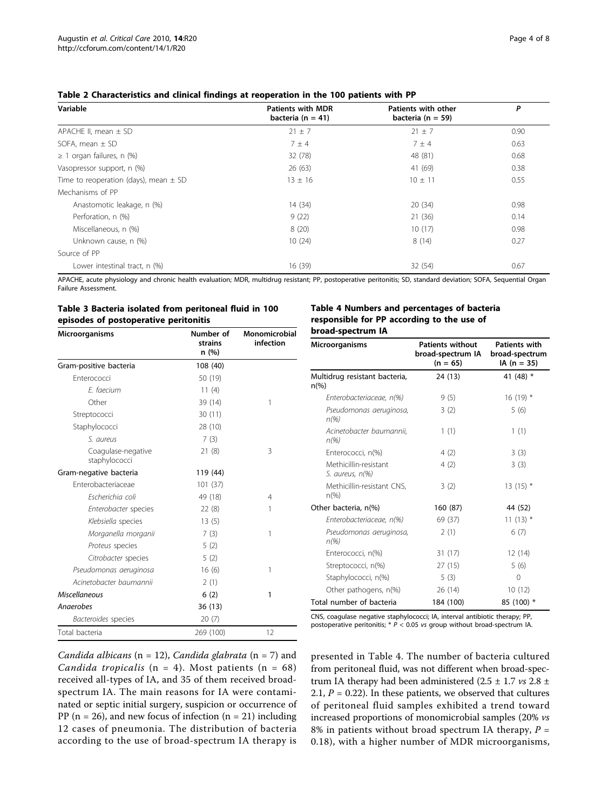<span id="page-3-0"></span>

| Table 2 Characteristics and clinical findings at reoperation in the 100 patients with PP |  |
|------------------------------------------------------------------------------------------|--|
|------------------------------------------------------------------------------------------|--|

| Variable                                  | <b>Patients with MDR</b><br>bacteria ( $n = 41$ ) | Patients with other<br>bacteria ( $n = 59$ ) | P    |
|-------------------------------------------|---------------------------------------------------|----------------------------------------------|------|
| APACHE II, mean $\pm$ SD                  | $21 \pm 7$                                        | $21 \pm 7$                                   | 0.90 |
| SOFA, mean $\pm$ SD                       | $7 \pm 4$                                         | $7 \pm 4$                                    | 0.63 |
| $\geq$ 1 organ failures, n (%)            | 32 (78)                                           | 48 (81)                                      | 0.68 |
| Vasopressor support, n (%)                | 26(63)                                            | 41 (69)                                      | 0.38 |
| Time to reoperation (days), mean $\pm$ SD | $13 \pm 16$                                       | $10 \pm 11$                                  | 0.55 |
| Mechanisms of PP                          |                                                   |                                              |      |
| Anastomotic leakage, n (%)                | 14 (34)                                           | 20(34)                                       | 0.98 |
| Perforation, n (%)                        | 9(22)                                             | 21 (36)                                      | 0.14 |
| Miscellaneous, n (%)                      | 8(20)                                             | 10(17)                                       | 0.98 |
| Unknown cause, n (%)                      | 10(24)                                            | 8(14)                                        | 0.27 |
| Source of PP                              |                                                   |                                              |      |
| Lower intestinal tract, n (%)             | 16 (39)                                           | 32 (54)                                      | 0.67 |

APACHE, acute physiology and chronic health evaluation; MDR, multidrug resistant; PP, postoperative peritonitis; SD, standard deviation; SOFA, Sequential Organ Failure Assessment.

# Table 3 Bacteria isolated from peritoneal fluid in 100 episodes of postoperative peritonitis

#### Table 4 Numbers and percentages of bacteria responsible for PP according to the use of broad-spectrum IA

| <b>Microorganisms</b>   | Number of<br>Monomicrobial |           | proad-spectrum in                                                           |                                              |                                        |  |
|-------------------------|----------------------------|-----------|-----------------------------------------------------------------------------|----------------------------------------------|----------------------------------------|--|
|                         | strains<br>n(%)            | infection | Microorganisms                                                              | <b>Patients without</b><br>broad-spectrum IA | <b>Patients with</b><br>broad-spectrum |  |
| Gram-positive bacteria  | 108 (40)                   |           |                                                                             | $(n = 65)$                                   | $IA(n = 35)$                           |  |
| Enterococci             | 50 (19)                    |           | Multidrug resistant bacteria,                                               | 24 (13)                                      | 41 $(48)$ *                            |  |
| F. faecium              | 11(4)                      |           | $n\frac{\omega}{\omega}$                                                    |                                              |                                        |  |
| Other                   | 39 (14)                    |           | Enterobacteriaceae, n(%)                                                    | 9(5)                                         | $16(19)$ *                             |  |
| Streptococci            | 30(11)                     |           | Pseudomonas aeruginosa,<br>$n(\%)$                                          | 3(2)                                         | 5(6)                                   |  |
| Staphylococci           | 28 (10)                    |           | Acinetobacter baumannii,                                                    | 1(1)                                         | 1(1)                                   |  |
| S. aureus               | 7(3)                       |           | $n(\%)$                                                                     |                                              |                                        |  |
| Coagulase-negative      | 21(8)                      | 3         | Enterococci, n(%)                                                           | 4(2)                                         | 3(3)                                   |  |
| staphylococci           |                            |           | Methicillin-resistant                                                       | 4(2)                                         | 3(3)                                   |  |
| Gram-negative bacteria  | 119 (44)                   |           | S. aureus, $n(\%)$                                                          |                                              |                                        |  |
| Enterobacteriaceae      | 101(37)                    |           | Methicillin-resistant CNS,                                                  | 3(2)                                         | $13(15)$ *                             |  |
| Escherichia coli        | 49 (18)                    | 4         | $n\frac{9}{6}$                                                              |                                              |                                        |  |
| Enterobacter species    | 22(8)                      |           | Other bacteria, n(%)                                                        | 160 (87)                                     | 44 (52)                                |  |
| Klebsiella species      | 13(5)                      |           | Enterobacteriaceae, n(%)                                                    | 69 (37)                                      | $11(13)$ *                             |  |
| Morganella morganii     | 7(3)                       |           | Pseudomonas aeruginosa,                                                     | 2(1)                                         | 6(7)                                   |  |
| Proteus species         | 5(2)                       |           | $n(\%)$                                                                     |                                              |                                        |  |
| Citrobacter species     | 5(2)                       |           | Enterococci, n(%)                                                           | 31(17)                                       | 12(14)                                 |  |
| Pseudomonas aeruginosa  | 16(6)                      |           | Streptococci, n(%)                                                          | 27 (15)                                      | 5(6)                                   |  |
| Acinetobacter baumannii | 2(1)                       |           | Staphylococci, n(%)                                                         | 5(3)                                         | $\Omega$                               |  |
| <b>Miscellaneous</b>    | 6(2)                       | 1         | Other pathogens, n(%)                                                       | 26(14)                                       | 10(12)                                 |  |
| Anaerobes               | 36 (13)                    |           | Total number of bacteria                                                    | 184 (100)                                    | 85 (100) *                             |  |
| Bacteroides species     | 20(7)                      |           | CNS, coaqulase negative staphylococci; IA, interval antibiotic therapy; PP, |                                              |                                        |  |
|                         |                            |           | postoperative peritonitis; $* P < 0.05$ vs group without broad-spectrum IA. |                                              |                                        |  |
| Total bacteria          | 269 (100)                  | 12        |                                                                             |                                              |                                        |  |

Candida albicans ( $n = 12$ ), Candida glabrata ( $n = 7$ ) and Candida tropicalis ( $n = 4$ ). Most patients ( $n = 68$ ) received all-types of IA, and 35 of them received broadspectrum IA. The main reasons for IA were contaminated or septic initial surgery, suspicion or occurrence of PP ( $n = 26$ ), and new focus of infection ( $n = 21$ ) including 12 cases of pneumonia. The distribution of bacteria according to the use of broad-spectrum IA therapy is

presented in Table 4. The number of bacteria cultured from peritoneal fluid, was not different when broad-spectrum IA therapy had been administered  $(2.5 \pm 1.7 \text{ vs } 2.8 \pm \text{)}$ 2.1,  $P = 0.22$ ). In these patients, we observed that cultures of peritoneal fluid samples exhibited a trend toward increased proportions of monomicrobial samples (20% vs 8% in patients without broad spectrum IA therapy,  $P =$ 0.18), with a higher number of MDR microorganisms,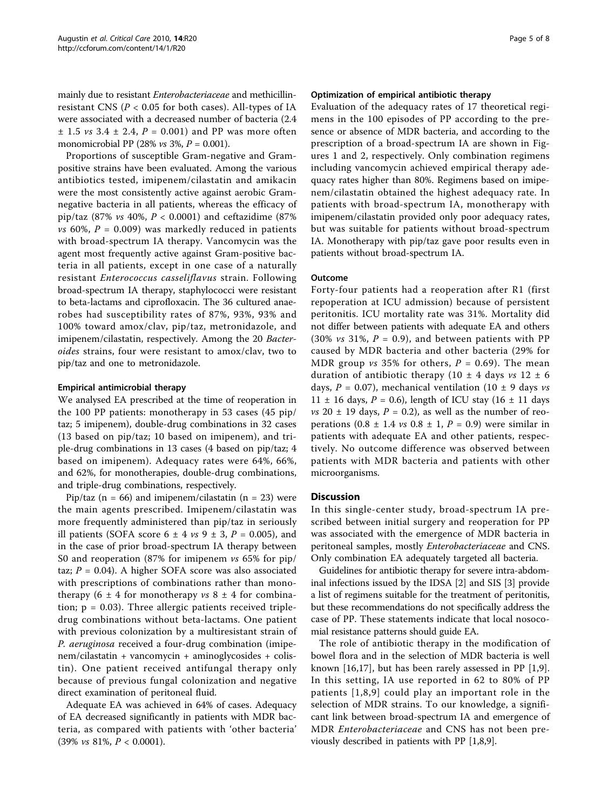mainly due to resistant Enterobacteriaceae and methicillinresistant CNS ( $P < 0.05$  for both cases). All-types of IA were associated with a decreased number of bacteria (2.4  $\pm$  1.5 *vs* 3.4  $\pm$  2.4, *P* = 0.001) and PP was more often monomicrobial PP (28%  $vs$  3%,  $P = 0.001$ ).

Proportions of susceptible Gram-negative and Grampositive strains have been evaluated. Among the various antibiotics tested, imipenem/cilastatin and amikacin were the most consistently active against aerobic Gramnegative bacteria in all patients, whereas the efficacy of pip/taz (87% *vs* 40%,  $P < 0.0001$ ) and ceftazidime (87%) *vs* 60%,  $P = 0.009$ ) was markedly reduced in patients with broad-spectrum IA therapy. Vancomycin was the agent most frequently active against Gram-positive bacteria in all patients, except in one case of a naturally resistant Enterococcus casseliflavus strain. Following broad-spectrum IA therapy, staphylococci were resistant to beta-lactams and ciprofloxacin. The 36 cultured anaerobes had susceptibility rates of 87%, 93%, 93% and 100% toward amox/clav, pip/taz, metronidazole, and imipenem/cilastatin, respectively. Among the 20 Bacteroides strains, four were resistant to amox/clav, two to pip/taz and one to metronidazole.

#### Empirical antimicrobial therapy

We analysed EA prescribed at the time of reoperation in the 100 PP patients: monotherapy in 53 cases (45 pip/ taz; 5 imipenem), double-drug combinations in 32 cases (13 based on pip/taz; 10 based on imipenem), and triple-drug combinations in 13 cases (4 based on pip/taz; 4 based on imipenem). Adequacy rates were 64%, 66%, and 62%, for monotherapies, double-drug combinations, and triple-drug combinations, respectively.

Pip/taz ( $n = 66$ ) and imipenem/cilastatin ( $n = 23$ ) were the main agents prescribed. Imipenem/cilastatin was more frequently administered than pip/taz in seriously ill patients (SOFA score  $6 \pm 4$  vs  $9 \pm 3$ ,  $P = 0.005$ ), and in the case of prior broad-spectrum IA therapy between S0 and reoperation (87% for imipenem vs 65% for pip/ taz;  $P = 0.04$ ). A higher SOFA score was also associated with prescriptions of combinations rather than monotherapy (6  $\pm$  4 for monotherapy *vs* 8  $\pm$  4 for combination;  $p = 0.03$ ). Three allergic patients received tripledrug combinations without beta-lactams. One patient with previous colonization by a multiresistant strain of P. aeruginosa received a four-drug combination (imipenem/cilastatin + vancomycin + aminoglycosides + colistin). One patient received antifungal therapy only because of previous fungal colonization and negative direct examination of peritoneal fluid.

Adequate EA was achieved in 64% of cases. Adequacy of EA decreased significantly in patients with MDR bacteria, as compared with patients with 'other bacteria'  $(39\% \text{ vs } 81\%, P < 0.0001).$ 

#### Optimization of empirical antibiotic therapy

Evaluation of the adequacy rates of 17 theoretical regimens in the 100 episodes of PP according to the presence or absence of MDR bacteria, and according to the prescription of a broad-spectrum IA are shown in Figures [1](#page-5-0) and [2,](#page-5-0) respectively. Only combination regimens including vancomycin achieved empirical therapy adequacy rates higher than 80%. Regimens based on imipenem/cilastatin obtained the highest adequacy rate. In patients with broad-spectrum IA, monotherapy with imipenem/cilastatin provided only poor adequacy rates, but was suitable for patients without broad-spectrum IA. Monotherapy with pip/taz gave poor results even in patients without broad-spectrum IA.

#### Outcome

Forty-four patients had a reoperation after R1 (first repoperation at ICU admission) because of persistent peritonitis. ICU mortality rate was 31%. Mortality did not differ between patients with adequate EA and others (30%  $vs$  31%,  $P = 0.9$ ), and between patients with PP caused by MDR bacteria and other bacteria (29% for MDR group vs 35% for others,  $P = 0.69$ ). The mean duration of antibiotic therapy (10  $\pm$  4 days vs 12  $\pm$  6 days,  $P = 0.07$ ), mechanical ventilation (10  $\pm$  9 days *vs* 11  $\pm$  16 days, *P* = 0.6), length of ICU stay (16  $\pm$  11 days  $vs$  20  $\pm$  19 days,  $P = 0.2$ ), as well as the number of reoperations  $(0.8 \pm 1.4 \text{ vs } 0.8 \pm 1, P = 0.9)$  were similar in patients with adequate EA and other patients, respectively. No outcome difference was observed between patients with MDR bacteria and patients with other microorganisms.

#### **Discussion**

In this single-center study, broad-spectrum IA prescribed between initial surgery and reoperation for PP was associated with the emergence of MDR bacteria in peritoneal samples, mostly Enterobacteriaceae and CNS. Only combination EA adequately targeted all bacteria.

Guidelines for antibiotic therapy for severe intra-abdominal infections issued by the IDSA [\[2\]](#page-7-0) and SIS [\[3\]](#page-7-0) provide a list of regimens suitable for the treatment of peritonitis, but these recommendations do not specifically address the case of PP. These statements indicate that local nosocomial resistance patterns should guide EA.

The role of antibiotic therapy in the modification of bowel flora and in the selection of MDR bacteria is well known [\[16,17](#page-7-0)], but has been rarely assessed in PP [[1,9](#page-7-0)]. In this setting, IA use reported in 62 to 80% of PP patients [[1](#page-7-0),[8](#page-7-0),[9](#page-7-0)] could play an important role in the selection of MDR strains. To our knowledge, a significant link between broad-spectrum IA and emergence of MDR Enterobacteriaceae and CNS has not been previously described in patients with PP [[1,8,9\]](#page-7-0).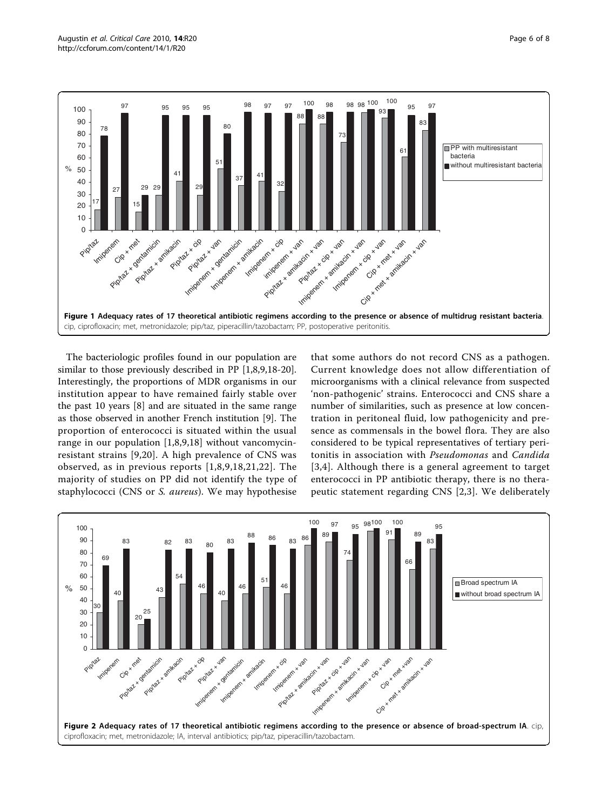<span id="page-5-0"></span>

The bacteriologic profiles found in our population are similar to those previously described in PP [[1,8,9,18-20](#page-7-0)]. Interestingly, the proportions of MDR organisms in our institution appear to have remained fairly stable over the past 10 years [[8\]](#page-7-0) and are situated in the same range as those observed in another French institution [[9\]](#page-7-0). The proportion of enterococci is situated within the usual range in our population [[1,8,9,18](#page-7-0)] without vancomycinresistant strains [\[9,20](#page-7-0)]. A high prevalence of CNS was observed, as in previous reports [[1](#page-7-0),[8,9](#page-7-0),[18](#page-7-0),[21](#page-7-0),[22](#page-7-0)]. The majority of studies on PP did not identify the type of staphylococci (CNS or S. aureus). We may hypothesise

that some authors do not record CNS as a pathogen. Current knowledge does not allow differentiation of microorganisms with a clinical relevance from suspected 'non-pathogenic' strains. Enterococci and CNS share a number of similarities, such as presence at low concentration in peritoneal fluid, low pathogenicity and presence as commensals in the bowel flora. They are also considered to be typical representatives of tertiary peritonitis in association with Pseudomonas and Candida [[3](#page-7-0),[4\]](#page-7-0). Although there is a general agreement to target enterococci in PP antibiotic therapy, there is no therapeutic statement regarding CNS [[2,3](#page-7-0)]. We deliberately

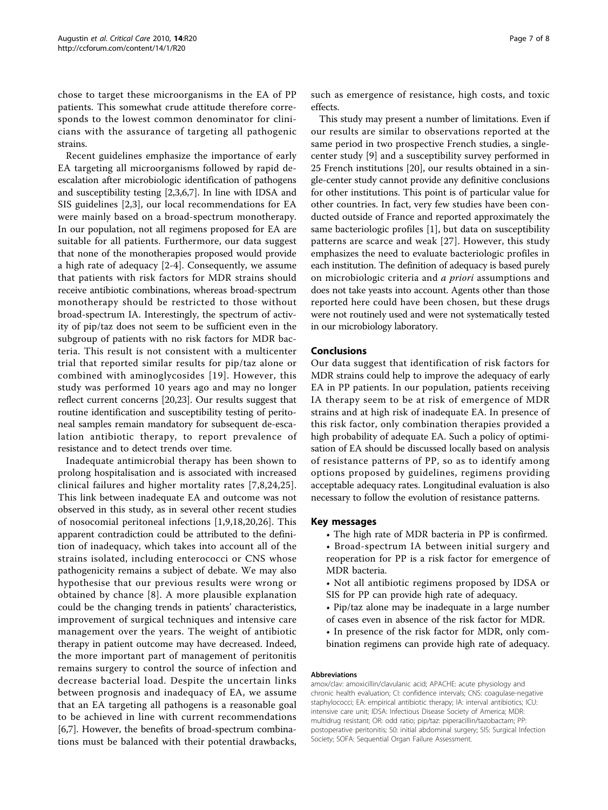chose to target these microorganisms in the EA of PP patients. This somewhat crude attitude therefore corresponds to the lowest common denominator for clinicians with the assurance of targeting all pathogenic strains.

Recent guidelines emphasize the importance of early EA targeting all microorganisms followed by rapid deescalation after microbiologic identification of pathogens and susceptibility testing [\[2,3,6,7](#page-7-0)]. In line with IDSA and SIS guidelines [\[2](#page-7-0),[3\]](#page-7-0), our local recommendations for EA were mainly based on a broad-spectrum monotherapy. In our population, not all regimens proposed for EA are suitable for all patients. Furthermore, our data suggest that none of the monotherapies proposed would provide a high rate of adequacy [\[2](#page-7-0)-[4\]](#page-7-0). Consequently, we assume that patients with risk factors for MDR strains should receive antibiotic combinations, whereas broad-spectrum monotherapy should be restricted to those without broad-spectrum IA. Interestingly, the spectrum of activity of pip/taz does not seem to be sufficient even in the subgroup of patients with no risk factors for MDR bacteria. This result is not consistent with a multicenter trial that reported similar results for pip/taz alone or combined with aminoglycosides [[19\]](#page-7-0). However, this study was performed 10 years ago and may no longer reflect current concerns [\[20,23](#page-7-0)]. Our results suggest that routine identification and susceptibility testing of peritoneal samples remain mandatory for subsequent de-escalation antibiotic therapy, to report prevalence of resistance and to detect trends over time.

Inadequate antimicrobial therapy has been shown to prolong hospitalisation and is associated with increased clinical failures and higher mortality rates [[7,8,24](#page-7-0),[25](#page-7-0)]. This link between inadequate EA and outcome was not observed in this study, as in several other recent studies of nosocomial peritoneal infections [\[1](#page-7-0),[9,18,20,26\]](#page-7-0). This apparent contradiction could be attributed to the definition of inadequacy, which takes into account all of the strains isolated, including enterococci or CNS whose pathogenicity remains a subject of debate. We may also hypothesise that our previous results were wrong or obtained by chance [[8](#page-7-0)]. A more plausible explanation could be the changing trends in patients' characteristics, improvement of surgical techniques and intensive care management over the years. The weight of antibiotic therapy in patient outcome may have decreased. Indeed, the more important part of management of peritonitis remains surgery to control the source of infection and decrease bacterial load. Despite the uncertain links between prognosis and inadequacy of EA, we assume that an EA targeting all pathogens is a reasonable goal to be achieved in line with current recommendations [[6,7\]](#page-7-0). However, the benefits of broad-spectrum combinations must be balanced with their potential drawbacks, such as emergence of resistance, high costs, and toxic effects.

This study may present a number of limitations. Even if our results are similar to observations reported at the same period in two prospective French studies, a singlecenter study [[9\]](#page-7-0) and a susceptibility survey performed in 25 French institutions [\[20](#page-7-0)], our results obtained in a single-center study cannot provide any definitive conclusions for other institutions. This point is of particular value for other countries. In fact, very few studies have been conducted outside of France and reported approximately the same bacteriologic profiles [\[1](#page-7-0)], but data on susceptibility patterns are scarce and weak [[27](#page-7-0)]. However, this study emphasizes the need to evaluate bacteriologic profiles in each institution. The definition of adequacy is based purely on microbiologic criteria and a priori assumptions and does not take yeasts into account. Agents other than those reported here could have been chosen, but these drugs were not routinely used and were not systematically tested in our microbiology laboratory.

#### Conclusions

Our data suggest that identification of risk factors for MDR strains could help to improve the adequacy of early EA in PP patients. In our population, patients receiving IA therapy seem to be at risk of emergence of MDR strains and at high risk of inadequate EA. In presence of this risk factor, only combination therapies provided a high probability of adequate EA. Such a policy of optimisation of EA should be discussed locally based on analysis of resistance patterns of PP, so as to identify among options proposed by guidelines, regimens providing acceptable adequacy rates. Longitudinal evaluation is also necessary to follow the evolution of resistance patterns.

#### Key messages

- The high rate of MDR bacteria in PP is confirmed.
- Broad-spectrum IA between initial surgery and reoperation for PP is a risk factor for emergence of MDR bacteria.
- Not all antibiotic regimens proposed by IDSA or SIS for PP can provide high rate of adequacy.
- Pip/taz alone may be inadequate in a large number of cases even in absence of the risk factor for MDR.
- In presence of the risk factor for MDR, only combination regimens can provide high rate of adequacy.

#### Abbreviations

amox/clav: amoxicillin/clavulanic acid; APACHE: acute physiology and chronic health evaluation; CI: confidence intervals; CNS: coagulase-negative staphylococci; EA: empirical antibiotic therapy; IA: interval antibiotics; ICU: intensive care unit; IDSA: Infectious Disease Society of America; MDR: multidrug resistant; OR: odd ratio; pip/taz: piperacillin/tazobactam; PP: postoperative peritonitis; S0: initial abdominal surgery; SIS: Surgical Infection Society; SOFA: Sequential Organ Failure Assessment.